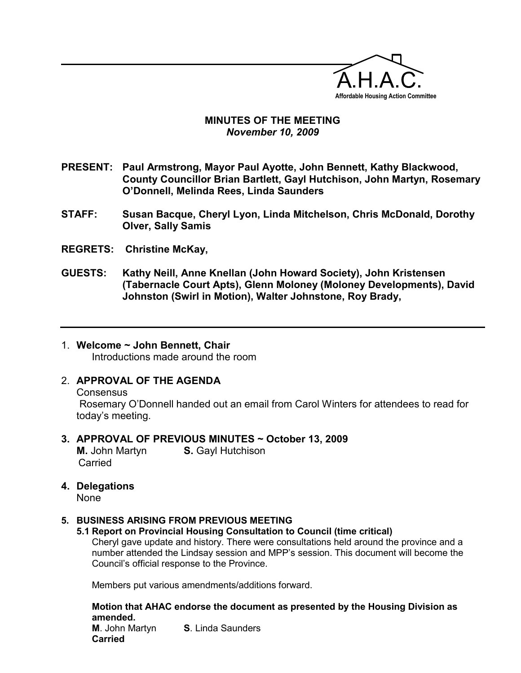

## MINUTES OF THE MEETING November 10, 2009

- PRESENT: Paul Armstrong, Mayor Paul Ayotte, John Bennett, Kathy Blackwood, County Councillor Brian Bartlett, Gayl Hutchison, John Martyn, Rosemary O'Donnell, Melinda Rees, Linda Saunders
- STAFF: Susan Bacque, Cheryl Lyon, Linda Mitchelson, Chris McDonald, Dorothy Olver, Sally Samis
- REGRETS: Christine McKay,

 $\overline{a}$ 

- GUESTS: Kathy Neill, Anne Knellan (John Howard Society), John Kristensen (Tabernacle Court Apts), Glenn Moloney (Moloney Developments), David Johnston (Swirl in Motion), Walter Johnstone, Roy Brady,
- 1. Welcome ~ John Bennett, Chair Introductions made around the room

# 2. APPROVAL OF THE AGENDA

**Consensus**  Rosemary O'Donnell handed out an email from Carol Winters for attendees to read for today's meeting.

#### 3. APPROVAL OF PREVIOUS MINUTES ~ October 13, 2009

**M.** John Martyn **S.** Gayl Hutchison Carried

4. Delegations

#### 5. BUSINESS ARISING FROM PREVIOUS MEETING

5.1 Report on Provincial Housing Consultation to Council (time critical) Cheryl gave update and history. There were consultations held around the province and a number attended the Lindsay session and MPP's session. This document will become the Council's official response to the Province.

Members put various amendments/additions forward.

Motion that AHAC endorse the document as presented by the Housing Division as amended. **M.** John Martyn **S.** Linda Saunders Carried

None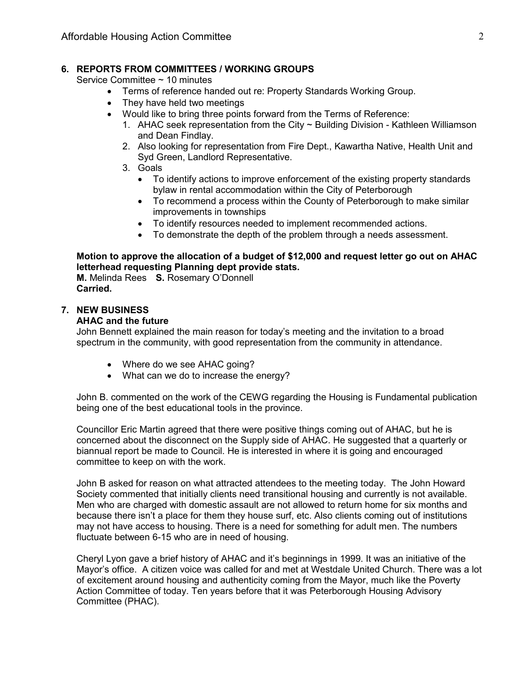#### 6. REPORTS FROM COMMITTEES / WORKING GROUPS

Service Committee ~ 10 minutes

- Terms of reference handed out re: Property Standards Working Group.<br>• They have held two meetings
- They have held two meetings
- Would like to bring three points forward from the Terms of Reference:
	- 1. AHAC seek representation from the City ~ Building Division Kathleen Williamson and Dean Findlay.
	- 2. Also looking for representation from Fire Dept., Kawartha Native, Health Unit and Syd Green, Landlord Representative.
	- 3. Goals
		- To identify actions to improve enforcement of the existing property standards bylaw in rental accommodation within the City of Peterborough
		- To recommend a process within the County of Peterborough to make similar improvements in townships
		- To identify resources needed to implement recommended actions.
		- To demonstrate the depth of the problem through a needs assessment.

## Motion to approve the allocation of a budget of \$12,000 and request letter go out on AHAC letterhead requesting Planning dept provide stats.

M. Melinda Rees S. Rosemary O'Donnell Carried.

## 7. NEW BUSINESS

#### AHAC and the future

John Bennett explained the main reason for today's meeting and the invitation to a broad spectrum in the community, with good representation from the community in attendance.

- Where do we see AHAC going?
- What can we do to increase the energy?

John B. commented on the work of the CEWG regarding the Housing is Fundamental publication being one of the best educational tools in the province.

Councillor Eric Martin agreed that there were positive things coming out of AHAC, but he is concerned about the disconnect on the Supply side of AHAC. He suggested that a quarterly or biannual report be made to Council. He is interested in where it is going and encouraged committee to keep on with the work.

John B asked for reason on what attracted attendees to the meeting today. The John Howard Society commented that initially clients need transitional housing and currently is not available. Men who are charged with domestic assault are not allowed to return home for six months and because there isn't a place for them they house surf, etc. Also clients coming out of institutions may not have access to housing. There is a need for something for adult men. The numbers fluctuate between 6-15 who are in need of housing.

Cheryl Lyon gave a brief history of AHAC and it's beginnings in 1999. It was an initiative of the Mayor's office. A citizen voice was called for and met at Westdale United Church. There was a lot of excitement around housing and authenticity coming from the Mayor, much like the Poverty Action Committee of today. Ten years before that it was Peterborough Housing Advisory Committee (PHAC).